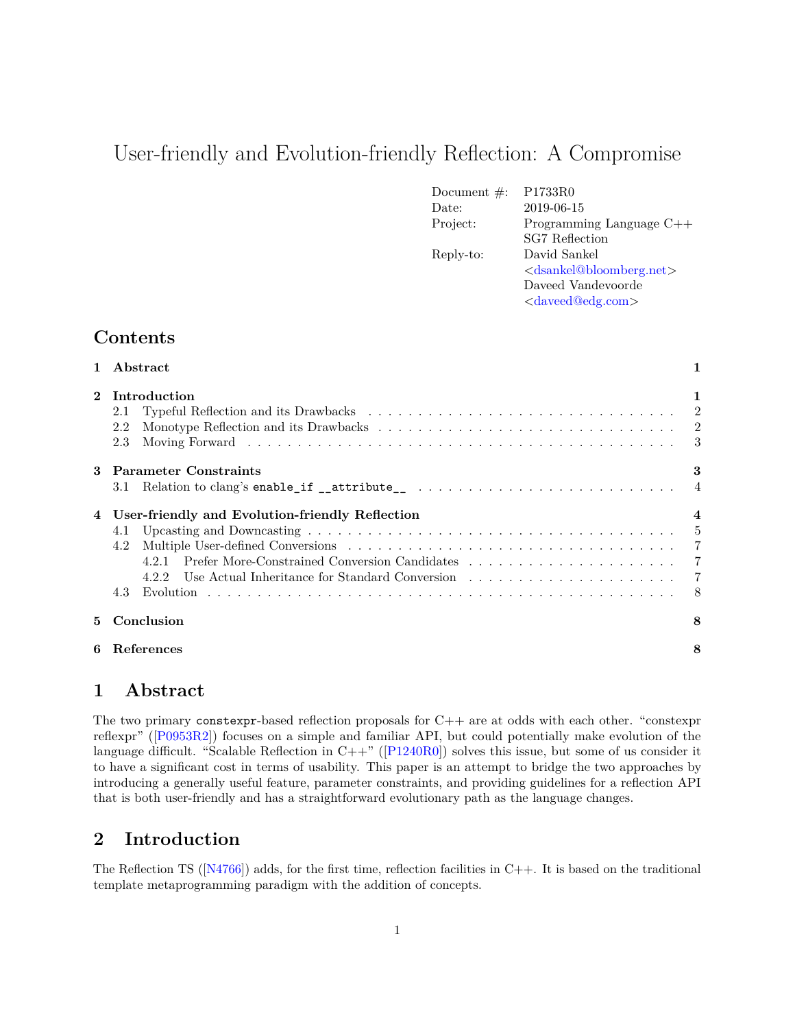# User-friendly and Evolution-friendly Reflection: A Compromise

| Document $\#$ : | P1733R0                                         |
|-----------------|-------------------------------------------------|
| Date:           | 2019-06-15                                      |
| Project:        | Programming Language $C++$                      |
|                 | <b>SG7</b> Reflection                           |
| Reply-to:       | David Sankel                                    |
|                 | <dsankel@bloomberg.net></dsankel@bloomberg.net> |
|                 | Daveed Vandevoorde                              |
|                 | <daveed@edg.com></daveed@edg.com>               |

## **Contents**

| $\mathbf{1}$ | Abstract                                                                                                                                     | 1 |
|--------------|----------------------------------------------------------------------------------------------------------------------------------------------|---|
| $\mathbf{2}$ | Introduction<br>2.1<br>2.2<br>2.3                                                                                                            | 1 |
| 3            | <b>Parameter Constraints</b><br>Relation to clang's enable_if __attribute__ $\ldots \ldots \ldots \ldots \ldots \ldots \ldots \ldots$<br>3.1 | 3 |
|              | User-friendly and Evolution-friendly Reflection<br>4.1<br>4.2<br>4.3                                                                         |   |
| 5.           | Conclusion                                                                                                                                   | 8 |
| 6            | References                                                                                                                                   | 8 |

### <span id="page-0-0"></span>**1 Abstract**

The two primary constexpr-based reflection proposals for C++ are at odds with each other. "constexpr reflexpr" ([\[P0953R2\]](#page-8-0)) focuses on a simple and familiar API, but could potentially make evolution of the language difficult. "Scalable Reflection in  $C++$ " ( $[P1240R0]$ ) solves this issue, but some of us consider it to have a significant cost in terms of usability. This paper is an attempt to bridge the two approaches by introducing a generally useful feature, parameter constraints, and providing guidelines for a reflection API that is both user-friendly and has a straightforward evolutionary path as the language changes.

# <span id="page-0-1"></span>**2 Introduction**

The Reflection TS ( $[N4766]$ ) adds, for the first time, reflection facilities in C++. It is based on the traditional template metaprogramming paradigm with the addition of concepts.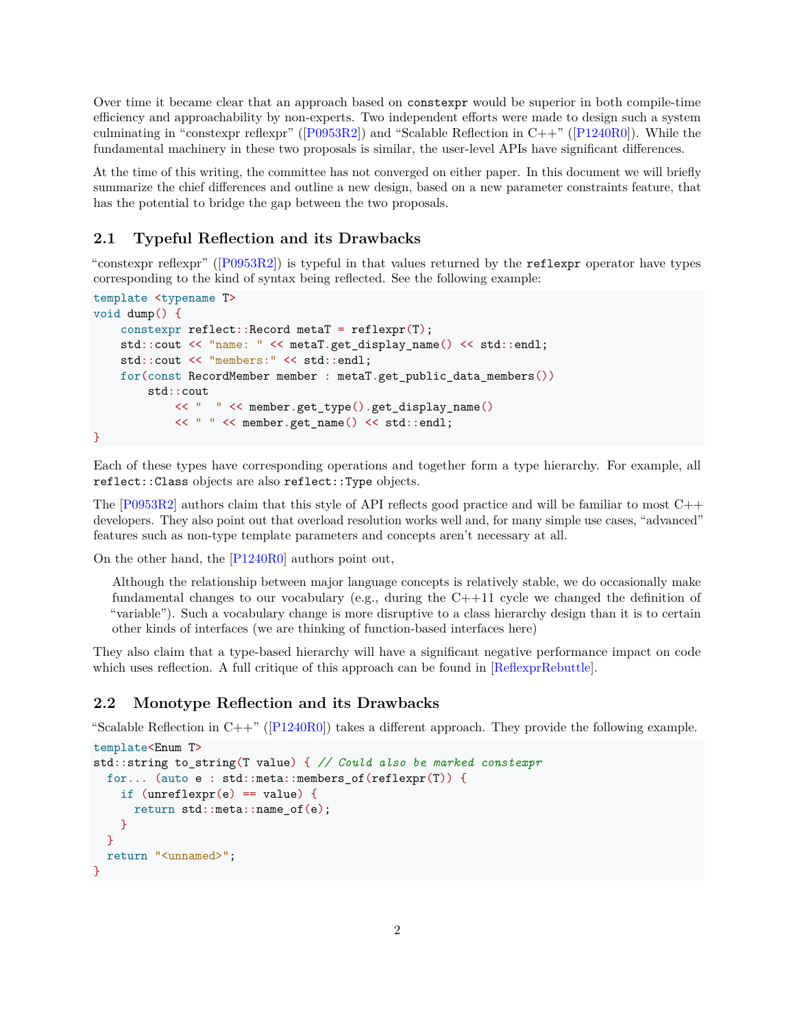Over time it became clear that an approach based on constexpr would be superior in both compile-time efficiency and approachability by non-experts. Two independent efforts were made to design such a system culminating in "constexpr reflexpr" ( $[PO953R2]$ ) and "Scalable Reflection in  $C++$ " ( $[P1240R0]$ ). While the fundamental machinery in these two proposals is similar, the user-level APIs have significant differences.

At the time of this writing, the committee has not converged on either paper. In this document we will briefly summarize the chief differences and outline a new design, based on a new parameter constraints feature, that has the potential to bridge the gap between the two proposals.

### <span id="page-1-0"></span>**2.1 Typeful Reflection and its Drawbacks**

"constexpr reflexpr" ([\[P0953R2\]](#page-8-0)) is typeful in that values returned by the reflexpr operator have types corresponding to the kind of syntax being reflected. See the following example:

```
template <typename T>
void dump() {
    constexpr reflect:: Record metaT = reflexpr(T);
   std::cout << "name: " << metaT.get display name() << std::endl;
   std::cout << "members:" << std::endl;
   for(const RecordMember member : metaT.get_public_data_members())
        std::cout
            << " " << member.get_type().get_display_name()
            << " " << member.get_name() << std::endl;
}
```
Each of these types have corresponding operations and together form a type hierarchy. For example, all reflect::Class objects are also reflect::Type objects.

The  $[P0953R2]$  authors claim that this style of API reflects good practice and will be familiar to most  $C++$ developers. They also point out that overload resolution works well and, for many simple use cases, "advanced" features such as non-type template parameters and concepts aren't necessary at all.

On the other hand, the [\[P1240R0\]](#page-8-1) authors point out,

Although the relationship between major language concepts is relatively stable, we do occasionally make fundamental changes to our vocabulary (e.g., during the  $C++11$  cycle we changed the definition of "variable"). Such a vocabulary change is more disruptive to a class hierarchy design than it is to certain other kinds of interfaces (we are thinking of function-based interfaces here)

They also claim that a type-based hierarchy will have a significant negative performance impact on code which uses reflection. A full critique of this approach can be found in [\[ReflexprRebuttle\]](#page-8-3).

### <span id="page-1-1"></span>**2.2 Monotype Reflection and its Drawbacks**

"Scalable Reflection in  $C++$ " ( $[P1240R0]$ ) takes a different approach. They provide the following example.

```
template<Enum T>
std::string to_string(T value) { // Could also be marked constexpr
  for... (auto e : std::meta::members_of(reflexpr(T)) {
    if (unreflexpr(e) == value) {
      return std::meta::name_of(e);
   }
 }
 return "<unnamed>";
}
```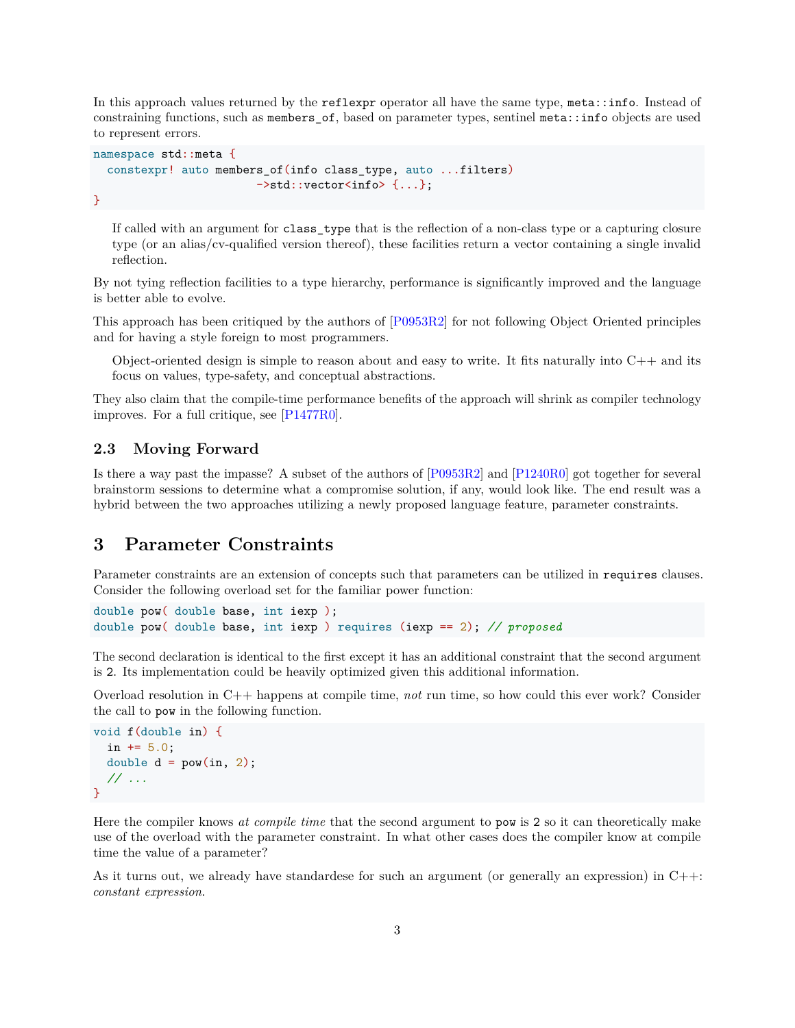In this approach values returned by the reflexpr operator all have the same type, meta::info. Instead of constraining functions, such as members of, based on parameter types, sentinel meta::info objects are used to represent errors.

```
namespace std::meta {
  constexpr! auto members_of(info class_type, auto ...filters)
                        ->std::vector<info> {...};
}
```
If called with an argument for class\_type that is the reflection of a non-class type or a capturing closure type (or an alias/cv-qualified version thereof), these facilities return a vector containing a single invalid reflection.

By not tying reflection facilities to a type hierarchy, performance is significantly improved and the language is better able to evolve.

This approach has been critiqued by the authors of [\[P0953R2\]](#page-8-0) for not following Object Oriented principles and for having a style foreign to most programmers.

Object-oriented design is simple to reason about and easy to write. It fits naturally into  $C++$  and its focus on values, type-safety, and conceptual abstractions.

They also claim that the compile-time performance benefits of the approach will shrink as compiler technology improves. For a full critique, see [\[P1477R0\]](#page-8-4).

### <span id="page-2-0"></span>**2.3 Moving Forward**

Is there a way past the impasse? A subset of the authors of [\[P0953R2\]](#page-8-0) and [\[P1240R0\]](#page-8-1) got together for several brainstorm sessions to determine what a compromise solution, if any, would look like. The end result was a hybrid between the two approaches utilizing a newly proposed language feature, parameter constraints.

### <span id="page-2-1"></span>**3 Parameter Constraints**

Parameter constraints are an extension of concepts such that parameters can be utilized in requires clauses. Consider the following overload set for the familiar power function:

```
double pow( double base, int iexp );
double pow( double base, int iexp ) requires (iexp == 2); // proposed
```
The second declaration is identical to the first except it has an additional constraint that the second argument is 2. Its implementation could be heavily optimized given this additional information.

Overload resolution in C++ happens at compile time, *not* run time, so how could this ever work? Consider the call to pow in the following function.

```
void f(double in) {
  in += 5.0;
  double d = pow(in, 2);// ...
}
```
Here the compiler knows *at compile time* that the second argument to pow is 2 so it can theoretically make use of the overload with the parameter constraint. In what other cases does the compiler know at compile time the value of a parameter?

As it turns out, we already have standardese for such an argument (or generally an expression) in  $C++$ : *constant expression*.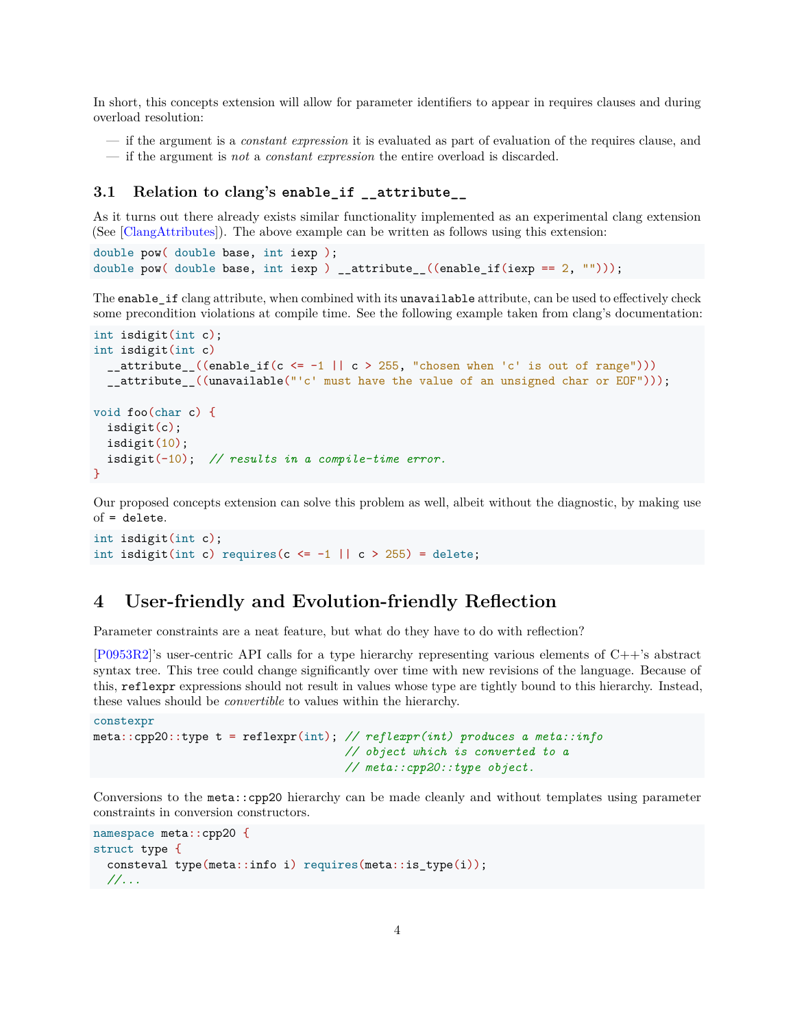In short, this concepts extension will allow for parameter identifiers to appear in requires clauses and during overload resolution:

- if the argument is a *constant expression* it is evaluated as part of evaluation of the requires clause, and
- if the argument is *not* a *constant expression* the entire overload is discarded.

#### <span id="page-3-0"></span>**3.1 Relation to clang's enable\_if \_\_attribute\_\_**

As it turns out there already exists similar functionality implemented as an experimental clang extension (See [\[ClangAttributes\]](#page-7-3)). The above example can be written as follows using this extension:

```
double pow( double base, int iexp );
double pow( double base, int iexp ) __attribute_((enable_if(iexp == 2, "")));
```
The enable\_if clang attribute, when combined with its unavailable attribute, can be used to effectively check some precondition violations at compile time. See the following example taken from clang's documentation:

```
int isdigit(int c);
int isdigit(int c)
  _ attribute<sub>-</sub>((enable_if(c <= -1 || c > 255, "chosen when 'c' is out of range")))
  __attribute__((unavailable("'c' must have the value of an unsigned char or EOF")));
void foo(char c) {
  isdigit(c);
  isdigit(10);
  isdigit(-10); // results in a compile-time error.
}
```
Our proposed concepts extension can solve this problem as well, albeit without the diagnostic, by making use of = delete.

```
int isdigit(int c);
int isdigit(int c) requires(c \le -1 || c > 255) = delete;
```
### <span id="page-3-1"></span>**4 User-friendly and Evolution-friendly Reflection**

Parameter constraints are a neat feature, but what do they have to do with reflection?

[\[P0953R2\]](#page-8-0)'s user-centric API calls for a type hierarchy representing various elements of C++'s abstract syntax tree. This tree could change significantly over time with new revisions of the language. Because of this, reflexpr expressions should not result in values whose type are tightly bound to this hierarchy. Instead, these values should be *convertible* to values within the hierarchy.

```
constexpr
meta::cpp20::type t = reflexpr(int); // reflexpr(int) produces a meta::info
                                     // object which is converted to a
                                     // meta::cpp20::type object.
```
Conversions to the meta::cpp20 hierarchy can be made cleanly and without templates using parameter constraints in conversion constructors.

```
namespace meta::cpp20 {
struct type {
  consteval type(meta::info i) requires(meta::is_type(i));
 //...
```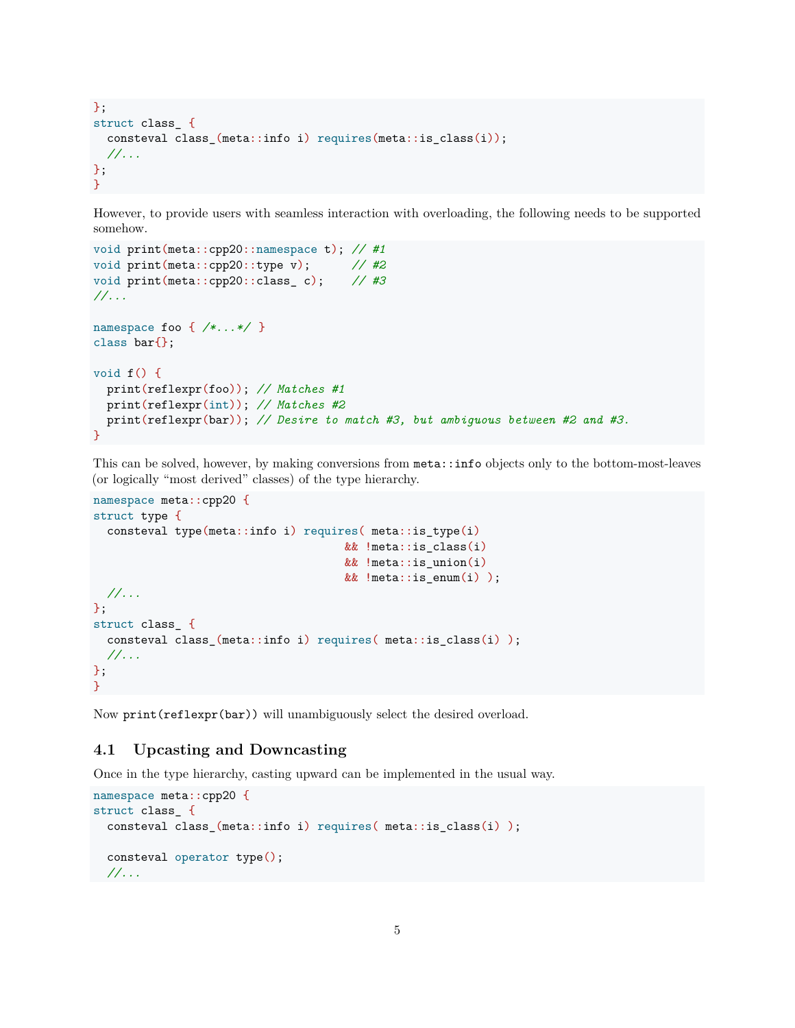```
};
struct class_ {
  consteval class_(meta::info i) requires(meta::is_class(i));
 //...
};
}
```
However, to provide users with seamless interaction with overloading, the following needs to be supported somehow.

```
void print(meta::cpp20::namespace t); // #1
void print(meta::cpp20::type v); // #2
void print(meta::cpp20::class_ c); // #3
//...
namespace foo { /*...*/ }
class bar{};
void f() {
 print(reflexpr(foo)); // Matches #1
 print(reflexpr(int)); // Matches #2
 print(reflexpr(bar)); // Desire to match #3, but ambiguous between #2 and #3.
}
```
This can be solved, however, by making conversions from meta::info objects only to the bottom-most-leaves (or logically "most derived" classes) of the type hierarchy.

```
namespace meta::cpp20 {
struct type {
  consteval type(meta::info i) requires( meta::is_type(i)
                                      && !meta::is_class(i)
                                      && !meta::is_union(i)
                                      && !meta::is_enum(i) );
 //...
};
struct class_ {
  consteval class_(meta::info i) requires( meta::is_class(i) );
  //...
};
}
```
Now print(reflexpr(bar)) will unambiguously select the desired overload.

### <span id="page-4-0"></span>**4.1 Upcasting and Downcasting**

Once in the type hierarchy, casting upward can be implemented in the usual way.

```
namespace meta::cpp20 {
struct class_ {
 consteval class_(meta::info i) requires( meta::is_class(i) );
 consteval operator type();
 //...
```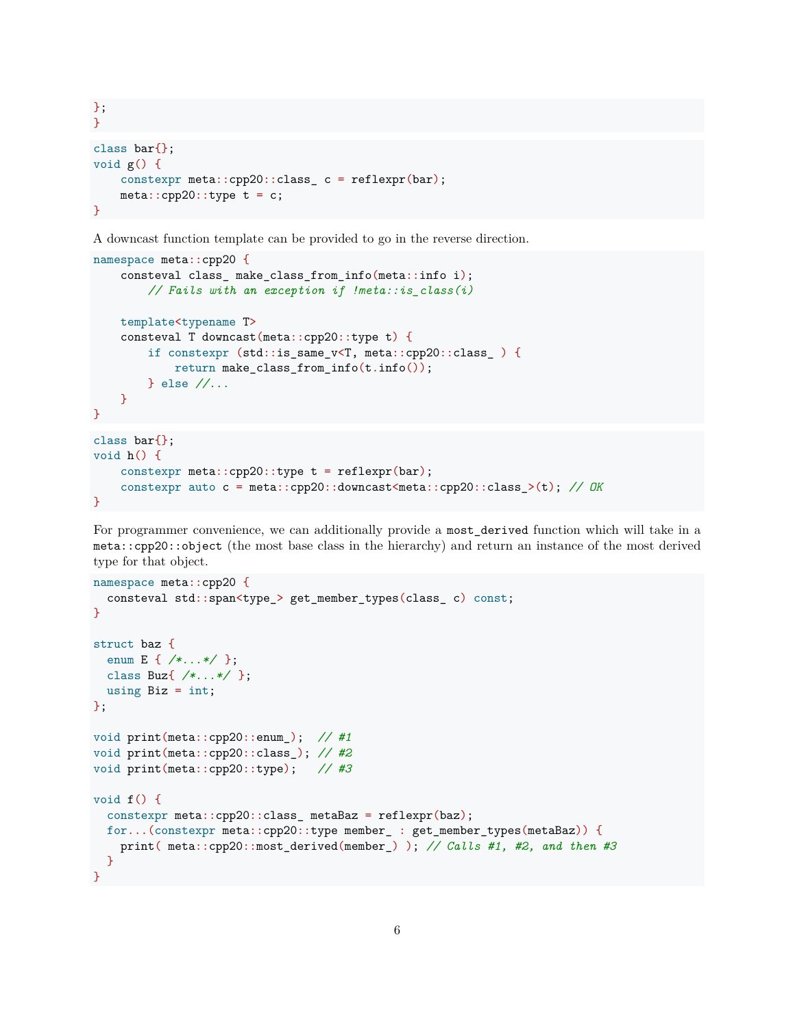}; } class bar{}; void g() { constexpr meta::cpp20::class\_ c = reflexpr(bar);  $meta::cpp20::type t = c;$ }

A downcast function template can be provided to go in the reverse direction.

```
namespace meta::cpp20 {
   consteval class_ make_class_from_info(meta::info i);
        // Fails with an exception if !meta::is_class(i)
   template<typename T>
   consteval T downcast(meta::cpp20::type t) {
        if constexpr (std::is_same_v<T, meta::cpp20::class_ ) {
            return make_class_from_info(t.info());
        } else //...
   }
}
class bar{};
void h() {
   constexpr meta::cpp20::type t = reflexpr(bar);
    constexpr auto c = meta::cpp20::downcast<meta::cpp20::class_>(t); // OK
}
```
For programmer convenience, we can additionally provide a most derived function which will take in a meta::cpp20::object (the most base class in the hierarchy) and return an instance of the most derived type for that object.

```
namespace meta::cpp20 {
  consteval std::span<type_> get_member_types(class_ c) const;
}
struct baz {
  enum E { /*...*/ };
 class Buz{ /*...*/ };
 using Biz = int;};
void print(meta::cpp20::enum_); // #1
void print(meta::cpp20::class_); // #2
void print(meta::cpp20::type); // #3
void f() {
  constexpr meta::cpp20::class_ metaBaz = reflexpr(baz);
  for...(constexpr meta::cpp20::type member_ : get_member_types(metaBaz)) {
    print( meta::cpp20::most_derived(member_) ); // Calls #1, #2, and then #3
  }
}
```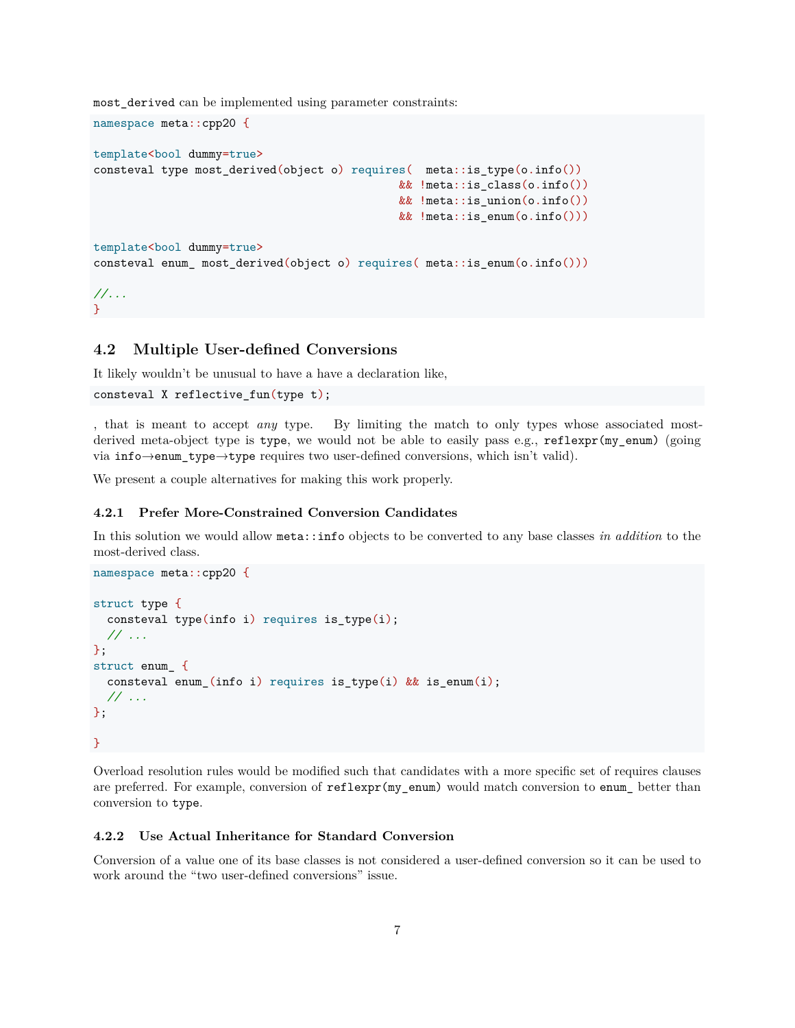most\_derived can be implemented using parameter constraints:

```
template<br/>>bool dummy=true>
consteval type most_derived(object o) requires( meta::is_type(o.info())
                                              && !meta::is_class(o.info())
                                              && !meta::is_union(o.info())
                                              && !meta::is enum(o.info()))
template<br/>bool dummy=true>
consteval enum_ most_derived(object o) requires( meta::is_enum(o.info()))
//...
```
### <span id="page-6-0"></span>**4.2 Multiple User-defined Conversions**

It likely wouldn't be unusual to have a have a declaration like,

```
consteval X reflective_fun(type t);
```
namespace meta::cpp20 {

}

, that is meant to accept *any* type. By limiting the match to only types whose associated mostderived meta-object type is type, we would not be able to easily pass e.g., reflexpr(my\_enum) (going via info→enum\_type→type requires two user-defined conversions, which isn't valid).

We present a couple alternatives for making this work properly.

#### <span id="page-6-1"></span>**4.2.1 Prefer More-Constrained Conversion Candidates**

In this solution we would allow meta::info objects to be converted to any base classes *in addition* to the most-derived class.

```
namespace meta::cpp20 {
struct type {
 consteval type(info i) requires is_type(i);
 // ...
};
struct enum_ {
 consteval enum (info i) requires is type(i) \&& is enum(i);
  // ...
};
}
```
Overload resolution rules would be modified such that candidates with a more specific set of requires clauses are preferred. For example, conversion of reflexpr(my\_enum) would match conversion to enum\_ better than conversion to type.

#### <span id="page-6-2"></span>**4.2.2 Use Actual Inheritance for Standard Conversion**

Conversion of a value one of its base classes is not considered a user-defined conversion so it can be used to work around the "two user-defined conversions" issue.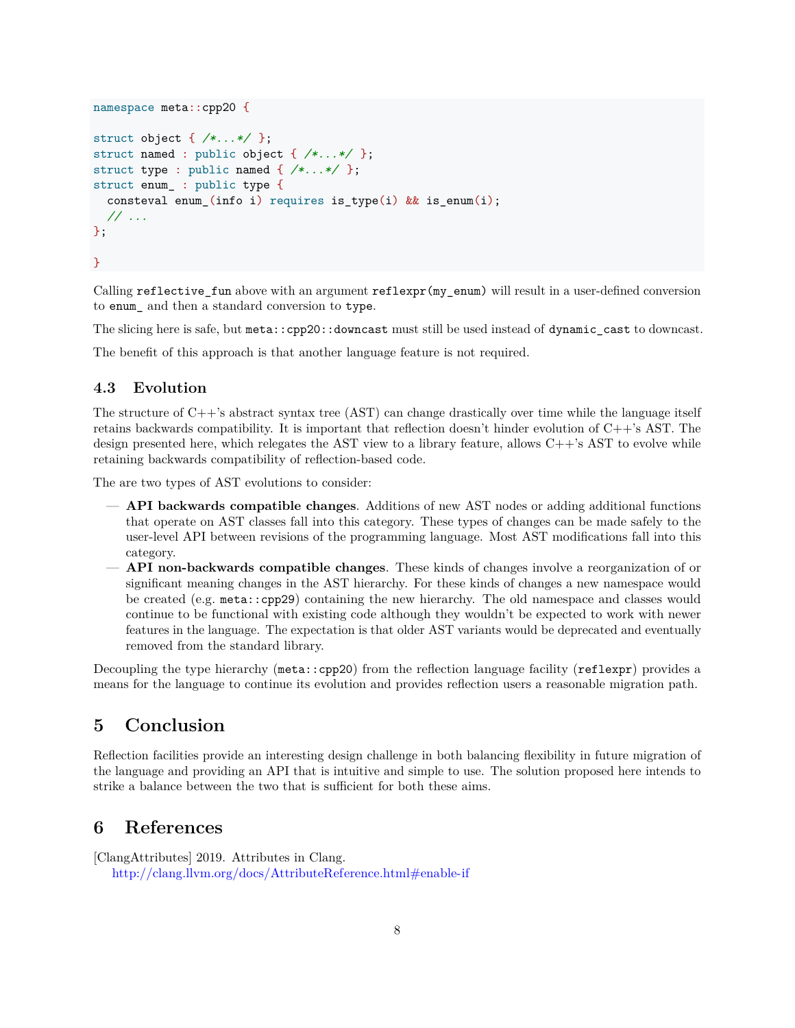```
namespace meta::cpp20 {
struct object { /*...*/ };
struct named : public object { /*...*/ };
struct type : public named { /*...*/ };
struct enum_ : public type {
  consteval enum_(info i) requires is_type(i) && is_enum(i);
  // ...
};
}
```
Calling reflective\_fun above with an argument reflexpr(my\_enum) will result in a user-defined conversion to enum\_ and then a standard conversion to type.

The slicing here is safe, but meta::cpp20::downcast must still be used instead of dynamic cast to downcast.

The benefit of this approach is that another language feature is not required.

#### <span id="page-7-0"></span>**4.3 Evolution**

The structure of C++'s abstract syntax tree (AST) can change drastically over time while the language itself retains backwards compatibility. It is important that reflection doesn't hinder evolution of C++'s AST. The design presented here, which relegates the AST view to a library feature, allows C++'s AST to evolve while retaining backwards compatibility of reflection-based code.

The are two types of AST evolutions to consider:

- **API backwards compatible changes**. Additions of new AST nodes or adding additional functions that operate on AST classes fall into this category. These types of changes can be made safely to the user-level API between revisions of the programming language. Most AST modifications fall into this category.
- **API non-backwards compatible changes**. These kinds of changes involve a reorganization of or significant meaning changes in the AST hierarchy. For these kinds of changes a new namespace would be created (e.g. meta::cpp29) containing the new hierarchy. The old namespace and classes would continue to be functional with existing code although they wouldn't be expected to work with newer features in the language. The expectation is that older AST variants would be deprecated and eventually removed from the standard library.

Decoupling the type hierarchy (meta::cpp20) from the reflection language facility (reflexpr) provides a means for the language to continue its evolution and provides reflection users a reasonable migration path.

### <span id="page-7-1"></span>**5 Conclusion**

Reflection facilities provide an interesting design challenge in both balancing flexibility in future migration of the language and providing an API that is intuitive and simple to use. The solution proposed here intends to strike a balance between the two that is sufficient for both these aims.

### <span id="page-7-2"></span>**6 References**

<span id="page-7-3"></span>[ClangAttributes] 2019. Attributes in Clang. <http://clang.llvm.org/docs/AttributeReference.html#enable-if>